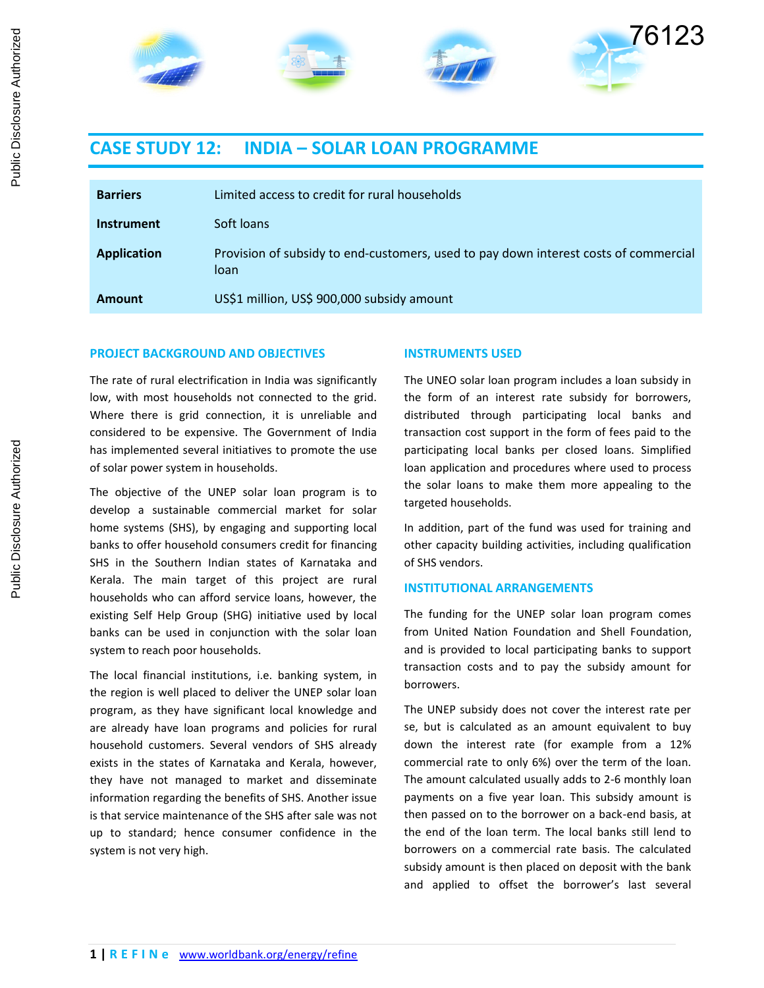

# **CASE STUDY 12: INDIA – SOLAR LOAN PROGRAMME**

| <b>Barriers</b>    | Limited access to credit for rural households                                                |
|--------------------|----------------------------------------------------------------------------------------------|
| <b>Instrument</b>  | Soft loans                                                                                   |
| <b>Application</b> | Provision of subsidy to end-customers, used to pay down interest costs of commercial<br>loan |
| Amount             | US\$1 million, US\$ 900,000 subsidy amount                                                   |

## **PROJECT BACKGROUND AND OBJECTIVES**

#### **INSTRUMENTS USED**

The rate of rural electrification in India was significantly low, with most households not connected to the grid. Where there is grid connection, it is unreliable and considered to be expensive. The Government of India has implemented several initiatives to promote the use of solar power system in households.

The objective of the UNEP solar loan program is to develop a sustainable commercial market for solar home systems (SHS), by engaging and supporting local banks to offer household consumers credit for financing SHS in the Southern Indian states of Karnataka and Kerala. The main target of this project are rural households who can afford service loans, however, the existing Self Help Group (SHG) initiative used by local banks can be used in conjunction with the solar loan system to reach poor households.

The local financial institutions, i.e. banking system, in the region is well placed to deliver the UNEP solar loan program, as they have significant local knowledge and are already have loan programs and policies for rural household customers. Several vendors of SHS already exists in the states of Karnataka and Kerala, however, they have not managed to market and disseminate information regarding the benefits of SHS. Another issue is that service maintenance of the SHS after sale was not up to standard; hence consumer confidence in the system is not very high.

The UNEO solar loan program includes a loan subsidy in the form of an interest rate subsidy for borrowers, distributed through participating local banks and transaction cost support in the form of fees paid to the participating local banks per closed loans. Simplified loan application and procedures where used to process the solar loans to make them more appealing to the targeted households.

In addition, part of the fund was used for training and other capacity building activities, including qualification of SHS vendors.

## **INSTITUTIONAL ARRANGEMENTS**

The funding for the UNEP solar loan program comes from United Nation Foundation and Shell Foundation, and is provided to local participating banks to support transaction costs and to pay the subsidy amount for borrowers.

The UNEP subsidy does not cover the interest rate per se, but is calculated as an amount equivalent to buy down the interest rate (for example from a 12% commercial rate to only 6%) over the term of the loan. The amount calculated usually adds to 2-6 monthly loan payments on a five year loan. This subsidy amount is then passed on to the borrower on a back-end basis, at the end of the loan term. The local banks still lend to borrowers on a commercial rate basis. The calculated subsidy amount is then placed on deposit with the bank and applied to offset the borrower's last several

Public Disclosure Authorized

Public Disclosure Authorized